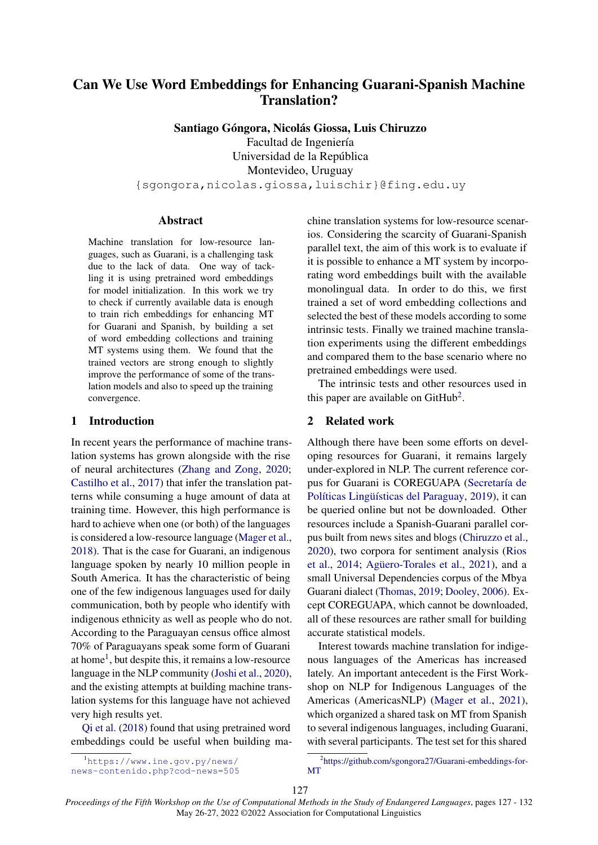# Can We Use Word Embeddings for Enhancing Guarani-Spanish Machine Translation?

Santiago Góngora, Nicolás Giossa, Luis Chiruzzo

Facultad de Ingeniería Universidad de la República

Montevideo, Uruguay

{sgongora,nicolas.giossa,luischir}@fing.edu.uy

## Abstract

Machine translation for low-resource languages, such as Guarani, is a challenging task due to the lack of data. One way of tackling it is using pretrained word embeddings for model initialization. In this work we try to check if currently available data is enough to train rich embeddings for enhancing MT for Guarani and Spanish, by building a set of word embedding collections and training MT systems using them. We found that the trained vectors are strong enough to slightly improve the performance of some of the translation models and also to speed up the training convergence.

## 1 Introduction

In recent years the performance of machine translation systems has grown alongside with the rise of neural architectures (Zhang and Zong, 2020; Castilho et al., 2017) that infer the translation patterns while consuming a huge amount of data at training time. However, this high performance is hard to achieve when one (or both) of the languages is considered a low-resource language (Mager et al., 2018). That is the case for Guarani, an indigenous language spoken by nearly 10 million people in South America. It has the characteristic of being one of the few indigenous languages used for daily communication, both by people who identify with indigenous ethnicity as well as people who do not. According to the Paraguayan census office almost 70% of Paraguayans speak some form of Guarani at home<sup>1</sup>, but despite this, it remains a low-resource language in the NLP community (Joshi et al., 2020), and the existing attempts at building machine translation systems for this language have not achieved very high results yet.

Qi et al. (2018) found that using pretrained word embeddings could be useful when building machine translation systems for low-resource scenarios. Considering the scarcity of Guarani-Spanish parallel text, the aim of this work is to evaluate if it is possible to enhance a MT system by incorporating word embeddings built with the available monolingual data. In order to do this, we first trained a set of word embedding collections and selected the best of these models according to some intrinsic tests. Finally we trained machine translation experiments using the different embeddings and compared them to the base scenario where no pretrained embeddings were used.

The intrinsic tests and other resources used in this paper are available on GitHub<sup>2</sup>.

### 2 Related work

Although there have been some efforts on developing resources for Guarani, it remains largely under-explored in NLP. The current reference corpus for Guarani is COREGUAPA (Secretaría de Políticas Lingüísticas del Paraguay, 2019), it can be queried online but not be downloaded. Other resources include a Spanish-Guarani parallel corpus built from news sites and blogs (Chiruzzo et al., 2020), two corpora for sentiment analysis (Rios et al., 2014; Agüero-Torales et al., 2021), and a small Universal Dependencies corpus of the Mbya Guarani dialect (Thomas, 2019; Dooley, 2006). Except COREGUAPA, which cannot be downloaded, all of these resources are rather small for building accurate statistical models.

Interest towards machine translation for indigenous languages of the Americas has increased lately. An important antecedent is the First Workshop on NLP for Indigenous Languages of the Americas (AmericasNLP) (Mager et al., 2021), which organized a shared task on MT from Spanish to several indigenous languages, including Guarani, with several participants. The test set for this shared

<sup>&</sup>lt;sup>1</sup>https://www.ine.gov.py/news/ news-contenido.php?cod-news=505

<sup>2</sup> https://github.com/sgongora27/Guarani-embeddings-for-MT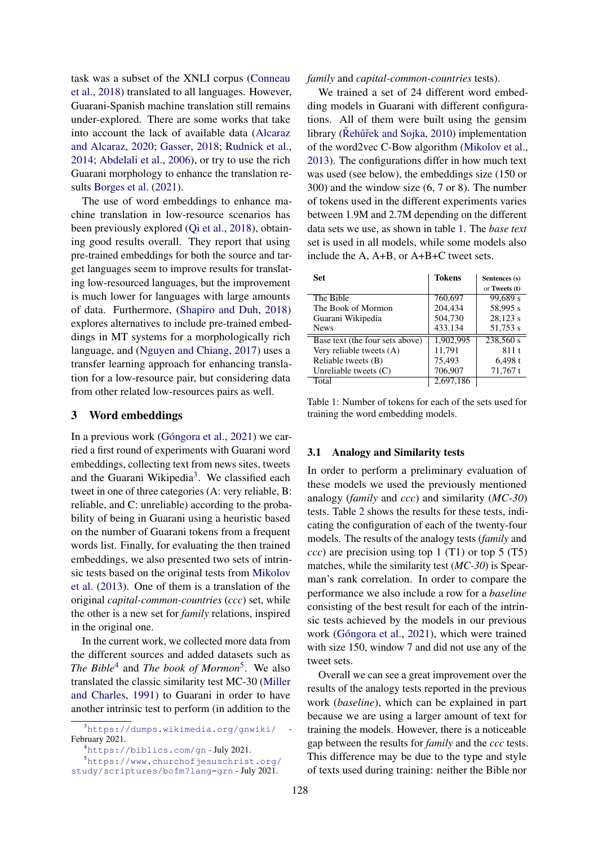task was a subset of the XNLI corpus (Conneau et al., 2018) translated to all languages. However, Guarani-Spanish machine translation still remains under-explored. There are some works that take into account the lack of available data (Alcaraz and Alcaraz, 2020; Gasser, 2018; Rudnick et al., 2014; Abdelali et al., 2006), or try to use the rich Guarani morphology to enhance the translation results Borges et al. (2021).

The use of word embeddings to enhance machine translation in low-resource scenarios has been previously explored (Qi et al., 2018), obtaining good results overall. They report that using pre-trained embeddings for both the source and target languages seem to improve results for translating low-resourced languages, but the improvement is much lower for languages with large amounts of data. Furthermore, (Shapiro and Duh, 2018) explores alternatives to include pre-trained embeddings in MT systems for a morphologically rich language, and (Nguyen and Chiang, 2017) uses a transfer learning approach for enhancing translation for a low-resource pair, but considering data from other related low-resources pairs as well.

#### 3 Word embeddings

In a previous work (Góngora et al., 2021) we carried a first round of experiments with Guarani word embeddings, collecting text from news sites, tweets and the Guarani Wikipedia<sup>3</sup>. We classified each tweet in one of three categories (A: very reliable, B: reliable, and C: unreliable) according to the probability of being in Guarani using a heuristic based on the number of Guarani tokens from a frequent words list. Finally, for evaluating the then trained embeddings, we also presented two sets of intrinsic tests based on the original tests from Mikolov et al. (2013). One of them is a translation of the original *capital-common-countries* (*ccc*) set, while the other is a new set for *family* relations, inspired in the original one.

In the current work, we collected more data from the different sources and added datasets such as *The Bible*<sup>4</sup> and *The book of Mormon*<sup>5</sup> . We also translated the classic similarity test MC-30 (Miller and Charles, 1991) to Guarani in order to have another intrinsic test to perform (in addition to the

<sup>5</sup>https://www.churchofjesuschrist.org/ study/scriptures/bofm?lang=grn - July 2021.

#### *family* and *capital-common-countries* tests).

We trained a set of 24 different word embedding models in Guarani with different configurations. All of them were built using the gensim library (Řehůřek and Sojka, 2010) implementation of the word2vec C-Bow algorithm (Mikolov et al., 2013). The configurations differ in how much text was used (see below), the embeddings size (150 or 300) and the window size (6, 7 or 8). The number of tokens used in the different experiments varies between 1.9M and 2.7M depending on the different data sets we use, as shown in table 1. The *base text* set is used in all models, while some models also include the A, A+B, or A+B+C tweet sets.

| Set                             | <b>Tokens</b> | Sentences (s) |
|---------------------------------|---------------|---------------|
|                                 |               | or Tweets (t) |
| The Bible                       | 760,697       | 99.689 s      |
| The Book of Mormon              | 204,434       | 58,995 s      |
| Guarani Wikipedia               | 504,730       | 28,123 s      |
| <b>News</b>                     | 433.134       | 51,753 s      |
| Base text (the four sets above) | 1,902,995     | 238,560 s     |
| Very reliable tweets (A)        | 11,791        | 811t          |
| Reliable tweets (B)             | 75,493        | $6,498$ t     |
| Unreliable tweets $(C)$         | 706,907       | $71,767$ t    |
| Total                           | 2.697.186     |               |

Table 1: Number of tokens for each of the sets used for training the word embedding models.

#### 3.1 Analogy and Similarity tests

In order to perform a preliminary evaluation of these models we used the previously mentioned analogy (*family* and *ccc*) and similarity (*MC-30*) tests. Table 2 shows the results for these tests, indicating the configuration of each of the twenty-four models. The results of the analogy tests (*family* and *ccc*) are precision using top 1 (T1) or top 5 (T5) matches, while the similarity test (*MC-30*) is Spearman's rank correlation. In order to compare the performance we also include a row for a *baseline* consisting of the best result for each of the intrinsic tests achieved by the models in our previous work (Góngora et al., 2021), which were trained with size 150, window 7 and did not use any of the tweet sets.

Overall we can see a great improvement over the results of the analogy tests reported in the previous work (*baseline*), which can be explained in part because we are using a larger amount of text for training the models. However, there is a noticeable gap between the results for *family* and the *ccc* tests. This difference may be due to the type and style of texts used during training: neither the Bible nor

 $3$ https://dumps.wikimedia.org/gnwiki/ February 2021.

<sup>4</sup>https://biblics.com/gn - July 2021.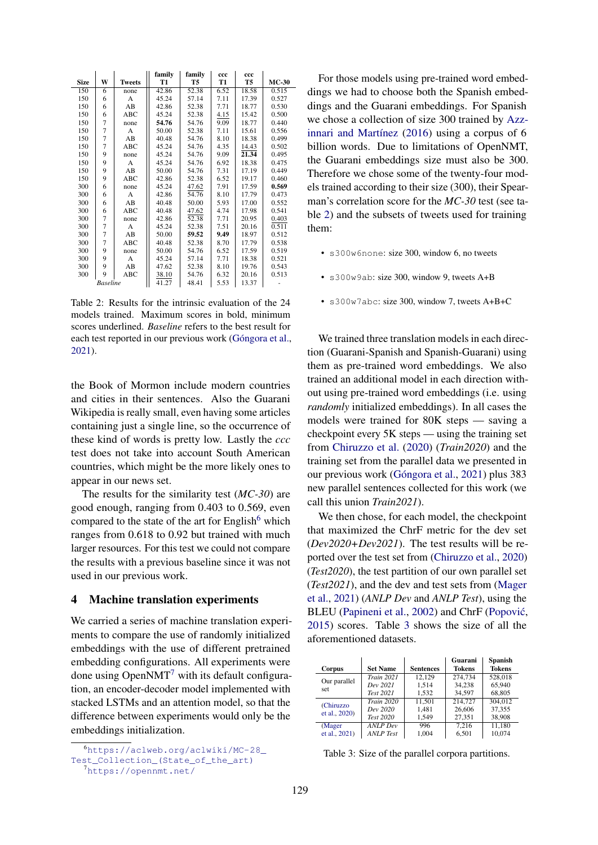|             |                 |               | family | family             | ccc  | ccc   |         |
|-------------|-----------------|---------------|--------|--------------------|------|-------|---------|
| <b>Size</b> | W               | <b>Tweets</b> | T1     | T5                 | T1   | T5    | $MC-30$ |
| 150         | 6               | none          | 42.86  | $52.\overline{38}$ | 6.52 | 18.58 | 0.515   |
| 150         | 6               | A             | 45.24  | 57.14              | 7.11 | 17.39 | 0.527   |
| 150         | 6               | AB            | 42.86  | 52.38              | 7.71 | 18.77 | 0.530   |
| 150         | 6               | <b>ABC</b>    | 45.24  | 52.38              | 4.15 | 15.42 | 0.500   |
| 150         | 7               | none          | 54.76  | 54.76              | 9.09 | 18.77 | 0.440   |
| 150         | $\overline{7}$  | A             | 50.00  | 52.38              | 7.11 | 15.61 | 0.556   |
| 150         | $\overline{7}$  | AB            | 40.48  | 54.76              | 8.10 | 18.38 | 0.499   |
| 150         | $\overline{7}$  | <b>ABC</b>    | 45.24  | 54.76              | 4.35 | 14.43 | 0.502   |
| 150         | 9               | none          | 45.24  | 54.76              | 9.09 | 21.34 | 0.495   |
| 150         | 9               | A             | 45.24  | 54.76              | 6.92 | 18.38 | 0.475   |
| 150         | 9               | AB            | 50.00  | 54.76              | 7.31 | 17.19 | 0.449   |
| 150         | 9               | <b>ABC</b>    | 42.86  | 52.38              | 6.52 | 19.17 | 0.460   |
| 300         | 6               | none          | 45.24  | 47.62              | 7.91 | 17.59 | 0.569   |
| 300         | 6               | A             | 42.86  | 54.76              | 8.10 | 17.79 | 0.473   |
| 300         | 6               | AB            | 40.48  | 50.00              | 5.93 | 17.00 | 0.552   |
| 300         | 6               | <b>ABC</b>    | 40.48  | 47.62              | 4.74 | 17.98 | 0.541   |
| 300         | $\overline{7}$  | none          | 42.86  | 52.38              | 7.71 | 20.95 | 0.403   |
| 300         | $\overline{7}$  | A             | 45.24  | 52.38              | 7.51 | 20.16 | 0.511   |
| 300         | $\overline{7}$  | AB            | 50.00  | 59.52              | 9.49 | 18.97 | 0.512   |
| 300         | $\overline{7}$  | ABC           | 40.48  | 52.38              | 8.70 | 17.79 | 0.538   |
| 300         | 9               | none          | 50.00  | 54.76              | 6.52 | 17.59 | 0.519   |
| 300         | 9               | A             | 45.24  | 57.14              | 7.71 | 18.38 | 0.521   |
| 300         | 9               | AB            | 47.62  | 52.38              | 8.10 | 19.76 | 0.543   |
| 300         | 9               | ABC           | 38.10  | 54.76              | 6.32 | 20.16 | 0.513   |
|             | <b>Baseline</b> |               | 41.27  | 48.41              | 5.53 | 13.37 |         |

Table 2: Results for the intrinsic evaluation of the 24 models trained. Maximum scores in bold, minimum scores underlined. *Baseline* refers to the best result for each test reported in our previous work (Góngora et al., 2021).

the Book of Mormon include modern countries and cities in their sentences. Also the Guarani Wikipedia is really small, even having some articles containing just a single line, so the occurrence of these kind of words is pretty low. Lastly the *ccc* test does not take into account South American countries, which might be the more likely ones to appear in our news set.

The results for the similarity test (*MC-30*) are good enough, ranging from 0.403 to 0.569, even compared to the state of the art for English $<sup>6</sup>$  which</sup> ranges from 0.618 to 0.92 but trained with much larger resources. For this test we could not compare the results with a previous baseline since it was not used in our previous work.

#### 4 Machine translation experiments

We carried a series of machine translation experiments to compare the use of randomly initialized embeddings with the use of different pretrained embedding configurations. All experiments were done using  $OpenNMT<sup>7</sup>$  with its default configuration, an encoder-decoder model implemented with stacked LSTMs and an attention model, so that the difference between experiments would only be the embeddings initialization.

For those models using pre-trained word embeddings we had to choose both the Spanish embeddings and the Guarani embeddings. For Spanish we chose a collection of size 300 trained by Azzinnari and Martínez (2016) using a corpus of 6 billion words. Due to limitations of OpenNMT, the Guarani embeddings size must also be 300. Therefore we chose some of the twenty-four models trained according to their size (300), their Spearman's correlation score for the *MC-30* test (see table 2) and the subsets of tweets used for training them:

- s300w6none: size 300, window 6, no tweets
- s300w9ab: size 300, window 9, tweets A+B
- s300w7abc: size 300, window 7, tweets A+B+C

We trained three translation models in each direction (Guarani-Spanish and Spanish-Guarani) using them as pre-trained word embeddings. We also trained an additional model in each direction without using pre-trained word embeddings (i.e. using *randomly* initialized embeddings). In all cases the models were trained for 80K steps — saving a checkpoint every 5K steps — using the training set from Chiruzzo et al. (2020) (*Train2020*) and the training set from the parallel data we presented in our previous work (Góngora et al., 2021) plus 383 new parallel sentences collected for this work (we call this union *Train2021*).

We then chose, for each model, the checkpoint that maximized the ChrF metric for the dev set (*Dev2020+Dev2021*). The test results will be reported over the test set from (Chiruzzo et al., 2020) (*Test2020*), the test partition of our own parallel set (*Test2021*), and the dev and test sets from (Mager et al., 2021) (*ANLP Dev* and *ANLP Test*), using the BLEU (Papineni et al., 2002) and ChrF (Popović, 2015) scores. Table 3 shows the size of all the aforementioned datasets.

| Corpus                      | <b>Set Name</b>   | <b>Sentences</b> | Guarani<br><b>Tokens</b> | <b>Spanish</b><br><b>Tokens</b> |
|-----------------------------|-------------------|------------------|--------------------------|---------------------------------|
| Our parallel<br>set         | <b>Train 2021</b> | 12.129           | 274,734                  | 528,018                         |
|                             | Dev 2021          | 1.514            | 34.238                   | 65.940                          |
|                             | Test 2021         | 1.532            | 34.597                   | 68,805                          |
| (Chiruzzo)<br>et al., 2020) | <b>Train 2020</b> | 11.501           | 214,727                  | 304,012                         |
|                             | Dev 2020          | 1.481            | 26.606                   | 37.355                          |
|                             | Test 2020         | 1.549            | 27,351                   | 38,908                          |
| (Mager                      | <b>ANLP</b> Dev   | 996              | 7.216                    | 11.180                          |
| et al., 2021)               | <b>ANLP</b> Test  | 1.004            | 6.501                    | 10.074                          |

Table 3: Size of the parallel corpora partitions.

<sup>6</sup>https://aclweb.org/aclwiki/MC-28\_ Test\_Collection\_(State\_of\_the\_art) <sup>7</sup>https://opennmt.net/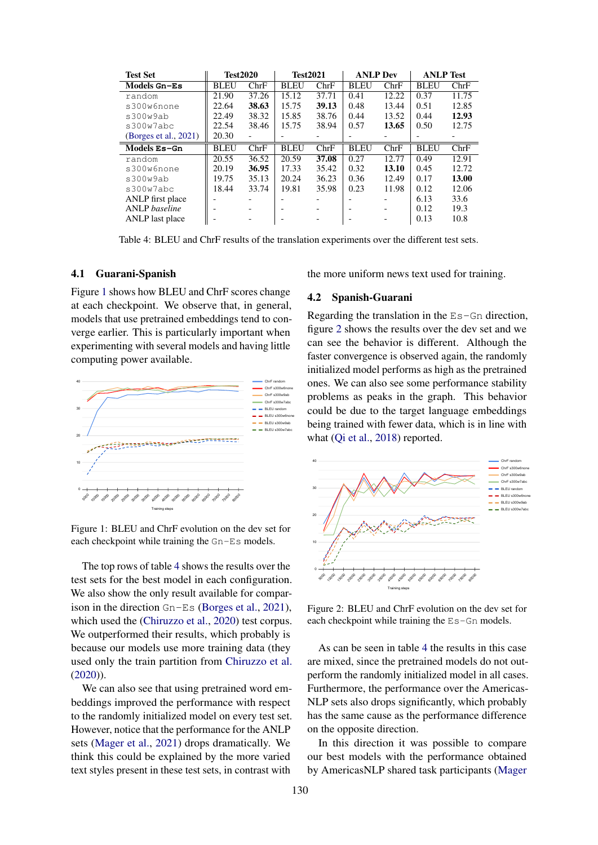| <b>Test Set</b>       | <b>Test2020</b> |       | <b>Test2021</b> |       | <b>ANLP Dev</b> |       | <b>ANLP</b> Test |       |
|-----------------------|-----------------|-------|-----------------|-------|-----------------|-------|------------------|-------|
| Models Gn-Es          | <b>BLEU</b>     | ChrF  | <b>BLEU</b>     | ChrF  | <b>BLEU</b>     | ChrF  | <b>BLEU</b>      | ChrF  |
| random                | 21.90           | 37.26 | 15.12           | 37.71 | 0.41            | 12.22 | 0.37             | 11.75 |
| s300w6none            | 22.64           | 38.63 | 15.75           | 39.13 | 0.48            | 13.44 | 0.51             | 12.85 |
| s300w9ab              | 22.49           | 38.32 | 15.85           | 38.76 | 0.44            | 13.52 | 0.44             | 12.93 |
| s300w7abc             | 22.54           | 38.46 | 15.75           | 38.94 | 0.57            | 13.65 | 0.50             | 12.75 |
| (Borges et al., 2021) | 20.30           |       |                 |       |                 |       |                  |       |
| Models Es-Gn          | <b>BLEU</b>     | ChrF  | <b>BLEU</b>     | ChrF  | <b>BLEU</b>     | ChrF  | <b>BLEU</b>      | ChrF  |
| random                | 20.55           | 36.52 | 20.59           | 37.08 | 0.27            | 12.77 | 0.49             | 12.91 |
| s300w6none            | 20.19           | 36.95 | 17.33           | 35.42 | 0.32            | 13.10 | 0.45             | 12.72 |
| s300w9ab              | 19.75           | 35.13 | 20.24           | 36.23 | 0.36            | 12.49 | 0.17             | 13.00 |
| s300w7abc             | 18.44           | 33.74 | 19.81           | 35.98 | 0.23            | 11.98 | 0.12             | 12.06 |
| ANLP first place      |                 |       |                 |       |                 |       | 6.13             | 33.6  |
| <b>ANLP</b> baseline  |                 |       |                 |       |                 |       | 0.12             | 19.3  |
| ANLP last place       |                 |       |                 |       | -               |       | 0.13             | 10.8  |

Table 4: BLEU and ChrF results of the translation experiments over the different test sets.

#### 4.1 Guarani-Spanish

Figure 1 shows how BLEU and ChrF scores change at each checkpoint. We observe that, in general, models that use pretrained embeddings tend to converge earlier. This is particularly important when experimenting with several models and having little computing power available.



Figure 1: BLEU and ChrF evolution on the dev set for each checkpoint while training the Gn-Es models.

The top rows of table 4 shows the results over the test sets for the best model in each configuration. We also show the only result available for comparison in the direction Gn-Es (Borges et al., 2021), which used the (Chiruzzo et al., 2020) test corpus. We outperformed their results, which probably is because our models use more training data (they used only the train partition from Chiruzzo et al. (2020)).

We can also see that using pretrained word embeddings improved the performance with respect to the randomly initialized model on every test set. However, notice that the performance for the ANLP sets (Mager et al., 2021) drops dramatically. We think this could be explained by the more varied text styles present in these test sets, in contrast with

the more uniform news text used for training.

#### 4.2 Spanish-Guarani

Regarding the translation in the Es-Gn direction, figure 2 shows the results over the dev set and we can see the behavior is different. Although the faster convergence is observed again, the randomly initialized model performs as high as the pretrained ones. We can also see some performance stability problems as peaks in the graph. This behavior could be due to the target language embeddings being trained with fewer data, which is in line with what (Qi et al., 2018) reported.



Figure 2: BLEU and ChrF evolution on the dev set for each checkpoint while training the Es-Gn models.

As can be seen in table 4 the results in this case are mixed, since the pretrained models do not outperform the randomly initialized model in all cases. Furthermore, the performance over the Americas-NLP sets also drops significantly, which probably has the same cause as the performance difference on the opposite direction.

In this direction it was possible to compare our best models with the performance obtained by AmericasNLP shared task participants (Mager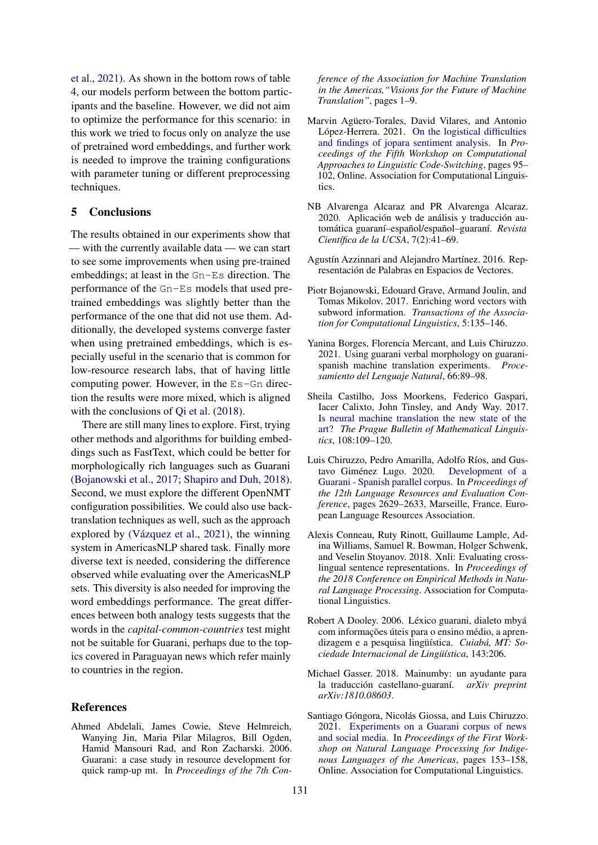et al., 2021). As shown in the bottom rows of table 4, our models perform between the bottom participants and the baseline. However, we did not aim to optimize the performance for this scenario: in this work we tried to focus only on analyze the use of pretrained word embeddings, and further work is needed to improve the training configurations with parameter tuning or different preprocessing techniques.

# 5 Conclusions

The results obtained in our experiments show that — with the currently available data — we can start to see some improvements when using pre-trained embeddings; at least in the Gn-Es direction. The performance of the Gn-Es models that used pretrained embeddings was slightly better than the performance of the one that did not use them. Additionally, the developed systems converge faster when using pretrained embeddings, which is especially useful in the scenario that is common for low-resource research labs, that of having little computing power. However, in the Es-Gn direction the results were more mixed, which is aligned with the conclusions of Qi et al. (2018).

There are still many lines to explore. First, trying other methods and algorithms for building embeddings such as FastText, which could be better for morphologically rich languages such as Guarani (Bojanowski et al., 2017; Shapiro and Duh, 2018). Second, we must explore the different OpenNMT configuration possibilities. We could also use backtranslation techniques as well, such as the approach explored by (Vázquez et al., 2021), the winning system in AmericasNLP shared task. Finally more diverse text is needed, considering the difference observed while evaluating over the AmericasNLP sets. This diversity is also needed for improving the word embeddings performance. The great differences between both analogy tests suggests that the words in the *capital-common-countries* test might not be suitable for Guarani, perhaps due to the topics covered in Paraguayan news which refer mainly to countries in the region.

#### References

Ahmed Abdelali, James Cowie, Steve Helmreich, Wanying Jin, Maria Pilar Milagros, Bill Ogden, Hamid Mansouri Rad, and Ron Zacharski. 2006. Guarani: a case study in resource development for quick ramp-up mt. In *Proceedings of the 7th Con-* *ference of the Association for Machine Translation in the Americas,"Visions for the Future of Machine Translation"*, pages 1–9.

- Marvin Agüero-Torales, David Vilares, and Antonio López-Herrera. 2021. On the logistical difficulties and findings of jopara sentiment analysis. In *Proceedings of the Fifth Workshop on Computational Approaches to Linguistic Code-Switching*, pages 95– 102, Online. Association for Computational Linguistics.
- NB Alvarenga Alcaraz and PR Alvarenga Alcaraz. 2020. Aplicación web de análisis y traducción automática guaraní–español/español–guaraní. *Revista Científica de la UCSA*, 7(2):41–69.
- Agustín Azzinnari and Alejandro Martínez. 2016. Representación de Palabras en Espacios de Vectores.
- Piotr Bojanowski, Edouard Grave, Armand Joulin, and Tomas Mikolov. 2017. Enriching word vectors with subword information. *Transactions of the Association for Computational Linguistics*, 5:135–146.
- Yanina Borges, Florencia Mercant, and Luis Chiruzzo. 2021. Using guarani verbal morphology on guaranispanish machine translation experiments. *Procesamiento del Lenguaje Natural*, 66:89–98.
- Sheila Castilho, Joss Moorkens, Federico Gaspari, Iacer Calixto, John Tinsley, and Andy Way. 2017. Is neural machine translation the new state of the art? *The Prague Bulletin of Mathematical Linguistics*, 108:109–120.
- Luis Chiruzzo, Pedro Amarilla, Adolfo Ríos, and Gustavo Giménez Lugo. 2020. Development of a Guarani - Spanish parallel corpus. In *Proceedings of the 12th Language Resources and Evaluation Conference*, pages 2629–2633, Marseille, France. European Language Resources Association.
- Alexis Conneau, Ruty Rinott, Guillaume Lample, Adina Williams, Samuel R. Bowman, Holger Schwenk, and Veselin Stoyanov. 2018. Xnli: Evaluating crosslingual sentence representations. In *Proceedings of the 2018 Conference on Empirical Methods in Natural Language Processing*. Association for Computational Linguistics.
- Robert A Dooley. 2006. Léxico guarani, dialeto mbyá com informações úteis para o ensino médio, a aprendizagem e a pesquisa lingüística. *Cuiabá, MT: Sociedade Internacional de Lingüística*, 143:206.
- Michael Gasser. 2018. Mainumby: un ayudante para la traducción castellano-guaraní. *arXiv preprint arXiv:1810.08603*.
- Santiago Góngora, Nicolás Giossa, and Luis Chiruzzo. 2021. Experiments on a Guarani corpus of news and social media. In *Proceedings of the First Workshop on Natural Language Processing for Indigenous Languages of the Americas*, pages 153–158, Online. Association for Computational Linguistics.